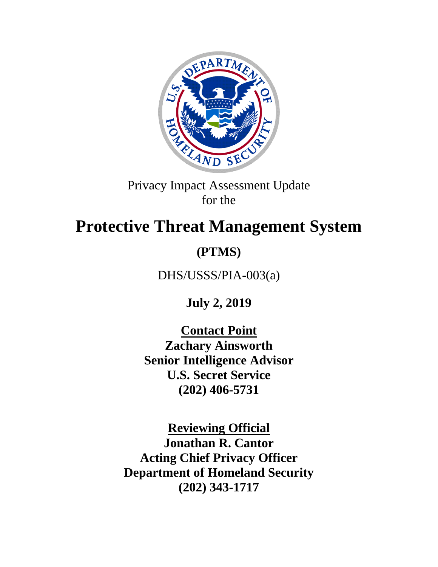

Privacy Impact Assessment Update for the

# **Protective Threat Management System**

## **(PTMS)**

DHS/USSS/PIA-003(a)

**July 2, 2019**

**Contact Point Zachary Ainsworth Senior Intelligence Advisor U.S. Secret Service (202) 406-5731**

**Reviewing Official Jonathan R. Cantor Acting Chief Privacy Officer Department of Homeland Security (202) 343-1717**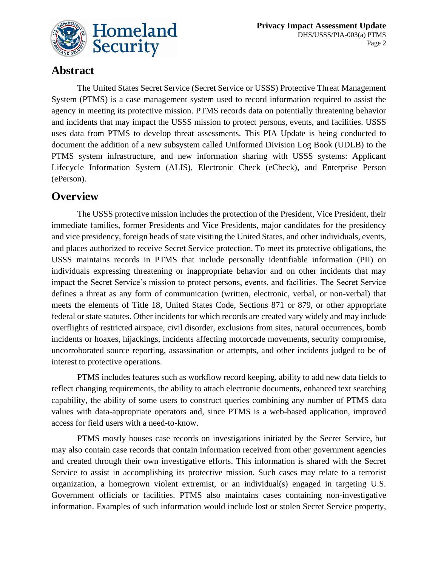

## **Abstract**

The United States Secret Service (Secret Service or USSS) Protective Threat Management System (PTMS) is a case management system used to record information required to assist the agency in meeting its protective mission. PTMS records data on potentially threatening behavior and incidents that may impact the USSS mission to protect persons, events, and facilities. USSS uses data from PTMS to develop threat assessments. This PIA Update is being conducted to document the addition of a new subsystem called Uniformed Division Log Book (UDLB) to the PTMS system infrastructure, and new information sharing with USSS systems: Applicant Lifecycle Information System (ALIS), Electronic Check (eCheck), and Enterprise Person (ePerson).

### **Overview**

The USSS protective mission includes the protection of the President, Vice President, their immediate families, former Presidents and Vice Presidents, major candidates for the presidency and vice presidency, foreign heads of state visiting the United States, and other individuals, events, and places authorized to receive Secret Service protection. To meet its protective obligations, the USSS maintains records in PTMS that include personally identifiable information (PII) on individuals expressing threatening or inappropriate behavior and on other incidents that may impact the Secret Service's mission to protect persons, events, and facilities. The Secret Service defines a threat as any form of communication (written, electronic, verbal, or non-verbal) that meets the elements of Title 18, United States Code, Sections 871 or 879, or other appropriate federal or state statutes. Other incidents for which records are created vary widely and may include overflights of restricted airspace, civil disorder, exclusions from sites, natural occurrences, bomb incidents or hoaxes, hijackings, incidents affecting motorcade movements, security compromise, uncorroborated source reporting, assassination or attempts, and other incidents judged to be of interest to protective operations.

PTMS includes features such as workflow record keeping, ability to add new data fields to reflect changing requirements, the ability to attach electronic documents, enhanced text searching capability, the ability of some users to construct queries combining any number of PTMS data values with data-appropriate operators and, since PTMS is a web-based application, improved access for field users with a need-to-know.

PTMS mostly houses case records on investigations initiated by the Secret Service, but may also contain case records that contain information received from other government agencies and created through their own investigative efforts. This information is shared with the Secret Service to assist in accomplishing its protective mission. Such cases may relate to a terrorist organization, a homegrown violent extremist, or an individual(s) engaged in targeting U.S. Government officials or facilities. PTMS also maintains cases containing non-investigative information. Examples of such information would include lost or stolen Secret Service property,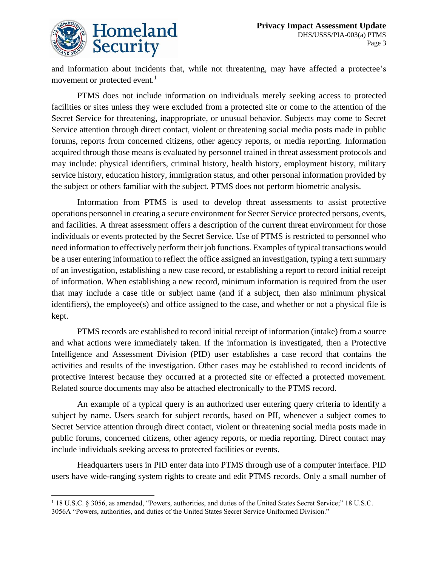$\overline{a}$ 

and information about incidents that, while not threatening, may have affected a protectee's movement or protected event.<sup>1</sup>

PTMS does not include information on individuals merely seeking access to protected facilities or sites unless they were excluded from a protected site or come to the attention of the Secret Service for threatening, inappropriate, or unusual behavior. Subjects may come to Secret Service attention through direct contact, violent or threatening social media posts made in public forums, reports from concerned citizens, other agency reports, or media reporting. Information acquired through those means is evaluated by personnel trained in threat assessment protocols and may include: physical identifiers, criminal history, health history, employment history, military service history, education history, immigration status, and other personal information provided by the subject or others familiar with the subject. PTMS does not perform biometric analysis.

Information from PTMS is used to develop threat assessments to assist protective operations personnel in creating a secure environment for Secret Service protected persons, events, and facilities. A threat assessment offers a description of the current threat environment for those individuals or events protected by the Secret Service. Use of PTMS is restricted to personnel who need information to effectively perform their job functions. Examples of typical transactions would be a user entering information to reflect the office assigned an investigation, typing a text summary of an investigation, establishing a new case record, or establishing a report to record initial receipt of information. When establishing a new record, minimum information is required from the user that may include a case title or subject name (and if a subject, then also minimum physical identifiers), the employee(s) and office assigned to the case, and whether or not a physical file is kept.

PTMS records are established to record initial receipt of information (intake) from a source and what actions were immediately taken. If the information is investigated, then a Protective Intelligence and Assessment Division (PID) user establishes a case record that contains the activities and results of the investigation. Other cases may be established to record incidents of protective interest because they occurred at a protected site or effected a protected movement. Related source documents may also be attached electronically to the PTMS record.

An example of a typical query is an authorized user entering query criteria to identify a subject by name. Users search for subject records, based on PII, whenever a subject comes to Secret Service attention through direct contact, violent or threatening social media posts made in public forums, concerned citizens, other agency reports, or media reporting. Direct contact may include individuals seeking access to protected facilities or events.

Headquarters users in PID enter data into PTMS through use of a computer interface. PID users have wide-ranging system rights to create and edit PTMS records. Only a small number of

<sup>1</sup> 18 U.S.C. § 3056, as amended, "Powers, authorities, and duties of the United States Secret Service;" 18 U.S.C. 3056A "Powers, authorities, and duties of the United States Secret Service Uniformed Division."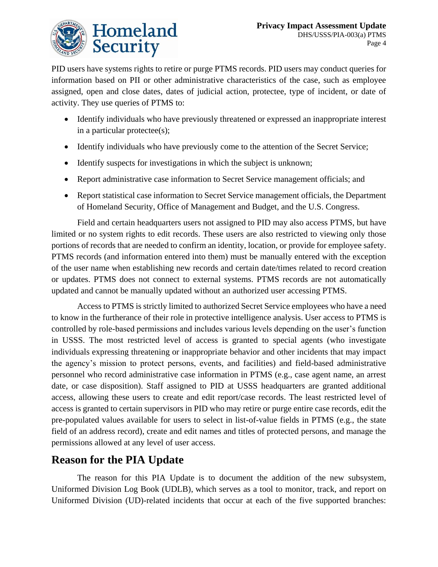

PID users have systems rights to retire or purge PTMS records. PID users may conduct queries for information based on PII or other administrative characteristics of the case, such as employee assigned, open and close dates, dates of judicial action, protectee, type of incident, or date of activity. They use queries of PTMS to:

- Identify individuals who have previously threatened or expressed an inappropriate interest in a particular protectee(s);
- Identify individuals who have previously come to the attention of the Secret Service;
- Identify suspects for investigations in which the subject is unknown;
- Report administrative case information to Secret Service management officials; and
- Report statistical case information to Secret Service management officials, the Department of Homeland Security, Office of Management and Budget, and the U.S. Congress.

Field and certain headquarters users not assigned to PID may also access PTMS, but have limited or no system rights to edit records. These users are also restricted to viewing only those portions of records that are needed to confirm an identity, location, or provide for employee safety. PTMS records (and information entered into them) must be manually entered with the exception of the user name when establishing new records and certain date/times related to record creation or updates. PTMS does not connect to external systems. PTMS records are not automatically updated and cannot be manually updated without an authorized user accessing PTMS.

Access to PTMS is strictly limited to authorized Secret Service employees who have a need to know in the furtherance of their role in protective intelligence analysis. User access to PTMS is controlled by role-based permissions and includes various levels depending on the user's function in USSS. The most restricted level of access is granted to special agents (who investigate individuals expressing threatening or inappropriate behavior and other incidents that may impact the agency's mission to protect persons, events, and facilities) and field-based administrative personnel who record administrative case information in PTMS (e.g., case agent name, an arrest date, or case disposition). Staff assigned to PID at USSS headquarters are granted additional access, allowing these users to create and edit report/case records. The least restricted level of access is granted to certain supervisors in PID who may retire or purge entire case records, edit the pre-populated values available for users to select in list-of-value fields in PTMS (e.g., the state field of an address record), create and edit names and titles of protected persons, and manage the permissions allowed at any level of user access.

## **Reason for the PIA Update**

The reason for this PIA Update is to document the addition of the new subsystem, Uniformed Division Log Book (UDLB), which serves as a tool to monitor, track, and report on Uniformed Division (UD)-related incidents that occur at each of the five supported branches: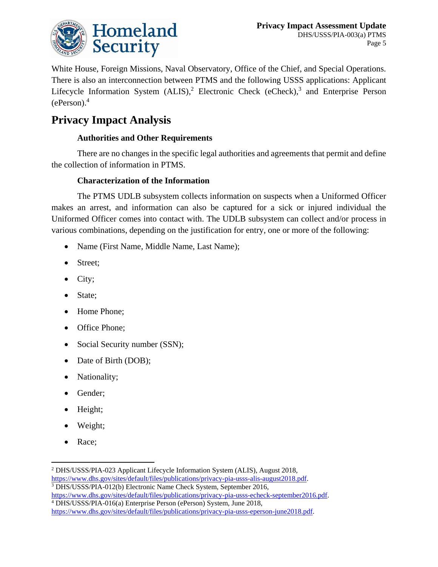

White House, Foreign Missions, Naval Observatory, Office of the Chief, and Special Operations. There is also an interconnection between PTMS and the following USSS applications: Applicant Lifecycle Information System (ALIS),<sup>2</sup> Electronic Check (eCheck),<sup>3</sup> and Enterprise Person (ePerson). 4

## **Privacy Impact Analysis**

#### **Authorities and Other Requirements**

There are no changes in the specific legal authorities and agreements that permit and define the collection of information in PTMS.

#### **Characterization of the Information**

The PTMS UDLB subsystem collects information on suspects when a Uniformed Officer makes an arrest, and information can also be captured for a sick or injured individual the Uniformed Officer comes into contact with. The UDLB subsystem can collect and/or process in various combinations, depending on the justification for entry, one or more of the following:

- Name (First Name, Middle Name, Last Name);
- Street;
- City;
- State;
- Home Phone:
- Office Phone;
- Social Security number (SSN);
- Date of Birth (DOB);
- Nationality;
- Gender;
- Height;
- Weight;
- Race;

 $\overline{a}$ 

<sup>2</sup> DHS/USSS/PIA-023 Applicant Lifecycle Information System (ALIS), August 2018, [https://www.dhs.gov/sites/default/files/publications/privacy-pia-usss-alis-august2018.pdf.](https://www.dhs.gov/sites/default/files/publications/privacy-pia-usss-alis-august2018.pdf) <sup>3</sup> DHS/USSS/PIA-012(b) Electronic Name Check System, September 2016,

[https://www.dhs.gov/sites/default/files/publications/privacy-pia-usss-echeck-september2016.pdf.](https://www.dhs.gov/sites/default/files/publications/privacy-pia-usss-echeck-september2016.pdf) <sup>4</sup> DHS/USSS/PIA-016(a) Enterprise Person (ePerson) System, June 2018,

[https://www.dhs.gov/sites/default/files/publications/privacy-pia-usss-eperson-june2018.pdf.](https://www.dhs.gov/sites/default/files/publications/privacy-pia-usss-eperson-june2018.pdf)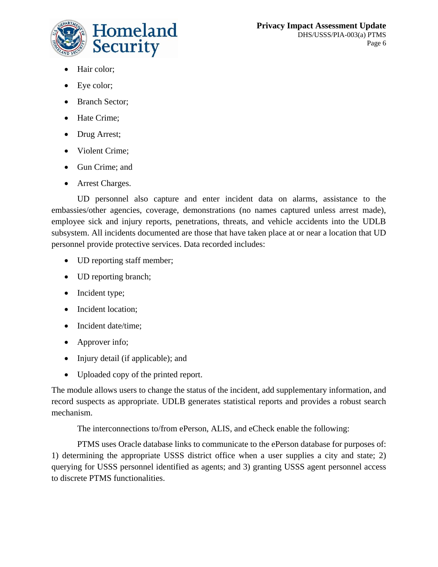

- Hair color;
- Eye color;
- Branch Sector;
- Hate Crime;
- Drug Arrest;
- Violent Crime:
- Gun Crime; and
- Arrest Charges.

UD personnel also capture and enter incident data on alarms, assistance to the embassies/other agencies, coverage, demonstrations (no names captured unless arrest made), employee sick and injury reports, penetrations, threats, and vehicle accidents into the UDLB subsystem. All incidents documented are those that have taken place at or near a location that UD personnel provide protective services. Data recorded includes:

- UD reporting staff member;
- UD reporting branch;
- Incident type;
- Incident location;
- Incident date/time;
- Approver info;
- Injury detail (if applicable); and
- Uploaded copy of the printed report.

The module allows users to change the status of the incident, add supplementary information, and record suspects as appropriate. UDLB generates statistical reports and provides a robust search mechanism.

The interconnections to/from ePerson, ALIS, and eCheck enable the following:

PTMS uses Oracle database links to communicate to the ePerson database for purposes of: 1) determining the appropriate USSS district office when a user supplies a city and state; 2) querying for USSS personnel identified as agents; and 3) granting USSS agent personnel access to discrete PTMS functionalities.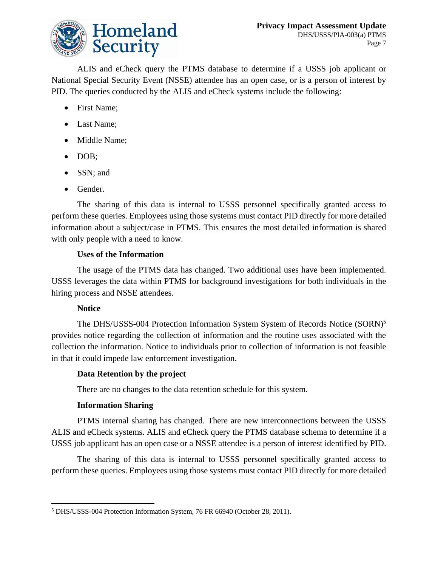

ALIS and eCheck query the PTMS database to determine if a USSS job applicant or National Special Security Event (NSSE) attendee has an open case, or is a person of interest by PID. The queries conducted by the ALIS and eCheck systems include the following:

- First Name:
- Last Name;
- Middle Name;
- DOB;
- SSN; and
- Gender.

The sharing of this data is internal to USSS personnel specifically granted access to perform these queries. Employees using those systems must contact PID directly for more detailed information about a subject/case in PTMS. This ensures the most detailed information is shared with only people with a need to know.

#### **Uses of the Information**

The usage of the PTMS data has changed. Two additional uses have been implemented. USSS leverages the data within PTMS for background investigations for both individuals in the hiring process and NSSE attendees.

#### **Notice**

The DHS/USSS-004 Protection Information System System of Records Notice (SORN)<sup>5</sup> provides notice regarding the collection of information and the routine uses associated with the collection the information. Notice to individuals prior to collection of information is not feasible in that it could impede law enforcement investigation.

#### **Data Retention by the project**

There are no changes to the data retention schedule for this system.

#### **Information Sharing**

PTMS internal sharing has changed. There are new interconnections between the USSS ALIS and eCheck systems. ALIS and eCheck query the PTMS database schema to determine if a USSS job applicant has an open case or a NSSE attendee is a person of interest identified by PID.

The sharing of this data is internal to USSS personnel specifically granted access to perform these queries. Employees using those systems must contact PID directly for more detailed

<sup>1</sup> <sup>5</sup> DHS/USSS-004 Protection Information System, 76 FR 66940 (October 28, 2011).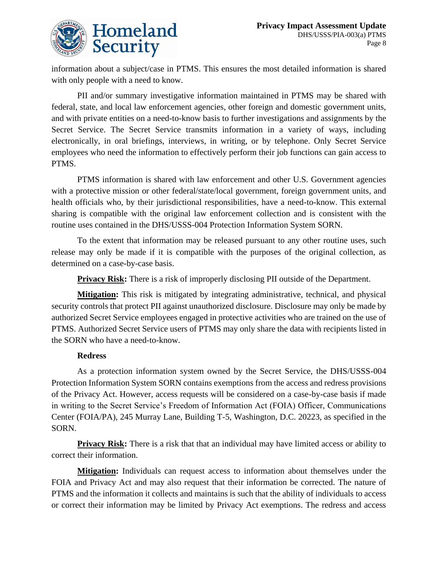

information about a subject/case in PTMS. This ensures the most detailed information is shared with only people with a need to know.

PII and/or summary investigative information maintained in PTMS may be shared with federal, state, and local law enforcement agencies, other foreign and domestic government units, and with private entities on a need-to-know basis to further investigations and assignments by the Secret Service. The Secret Service transmits information in a variety of ways, including electronically, in oral briefings, interviews, in writing, or by telephone. Only Secret Service employees who need the information to effectively perform their job functions can gain access to PTMS.

PTMS information is shared with law enforcement and other U.S. Government agencies with a protective mission or other federal/state/local government, foreign government units, and health officials who, by their jurisdictional responsibilities, have a need-to-know. This external sharing is compatible with the original law enforcement collection and is consistent with the routine uses contained in the DHS/USSS-004 Protection Information System SORN.

To the extent that information may be released pursuant to any other routine uses, such release may only be made if it is compatible with the purposes of the original collection, as determined on a case-by-case basis.

**Privacy Risk:** There is a risk of improperly disclosing PII outside of the Department.

**Mitigation:** This risk is mitigated by integrating administrative, technical, and physical security controls that protect PII against unauthorized disclosure. Disclosure may only be made by authorized Secret Service employees engaged in protective activities who are trained on the use of PTMS. Authorized Secret Service users of PTMS may only share the data with recipients listed in the SORN who have a need-to-know.

#### **Redress**

As a protection information system owned by the Secret Service, the DHS/USSS-004 Protection Information System SORN contains exemptions from the access and redress provisions of the Privacy Act. However, access requests will be considered on a case-by-case basis if made in writing to the Secret Service's Freedom of Information Act (FOIA) Officer, Communications Center (FOIA/PA), 245 Murray Lane, Building T-5, Washington, D.C. 20223, as specified in the SORN.

**Privacy Risk:** There is a risk that that an individual may have limited access or ability to correct their information.

**Mitigation:** Individuals can request access to information about themselves under the FOIA and Privacy Act and may also request that their information be corrected. The nature of PTMS and the information it collects and maintains is such that the ability of individuals to access or correct their information may be limited by Privacy Act exemptions. The redress and access